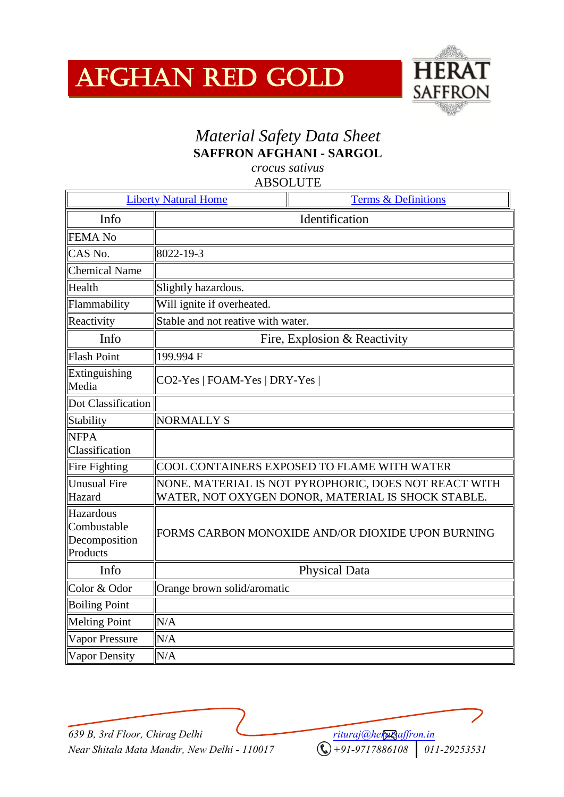## Afghan Red Gold



## *Material Safety Data Sheet* **SAFFRON AFGHANI - SARGOL**

*crocus sativus*

| <b>Liberty Natural Home</b><br><b>Terms &amp; Definitions</b> |                                                                                                             |
|---------------------------------------------------------------|-------------------------------------------------------------------------------------------------------------|
| Info                                                          | Identification                                                                                              |
| <b>FEMA No</b>                                                |                                                                                                             |
| CAS No.                                                       | 8022-19-3                                                                                                   |
| <b>Chemical Name</b>                                          |                                                                                                             |
| Health                                                        | Slightly hazardous.                                                                                         |
| Flammability                                                  | Will ignite if overheated.                                                                                  |
| Reactivity                                                    | Stable and not reative with water.                                                                          |
| Info                                                          | Fire, Explosion & Reactivity                                                                                |
| <b>Flash Point</b>                                            | 199.994 F                                                                                                   |
| Extinguishing<br>Media                                        | CO2-Yes   FOAM-Yes   DRY-Yes                                                                                |
| Dot Classification                                            |                                                                                                             |
| Stability                                                     | <b>NORMALLY S</b>                                                                                           |
| <b>NFPA</b><br>Classification                                 |                                                                                                             |
| Fire Fighting                                                 | COOL CONTAINERS EXPOSED TO FLAME WITH WATER                                                                 |
| <b>Unusual Fire</b><br>Hazard                                 | NONE. MATERIAL IS NOT PYROPHORIC, DOES NOT REACT WITH<br>WATER, NOT OXYGEN DONOR, MATERIAL IS SHOCK STABLE. |
| Hazardous<br>Combustable<br>Decomposition<br>Products         | FORMS CARBON MONOXIDE AND/OR DIOXIDE UPON BURNING                                                           |
| Info                                                          | Physical Data                                                                                               |
| Color & Odor                                                  | Orange brown solid/aromatic                                                                                 |
| <b>Boiling Point</b>                                          |                                                                                                             |
| <b>Melting Point</b>                                          | N/A                                                                                                         |
| <b>Vapor Pressure</b>                                         | N/A                                                                                                         |
| <b>Vapor Density</b>                                          | N/A                                                                                                         |

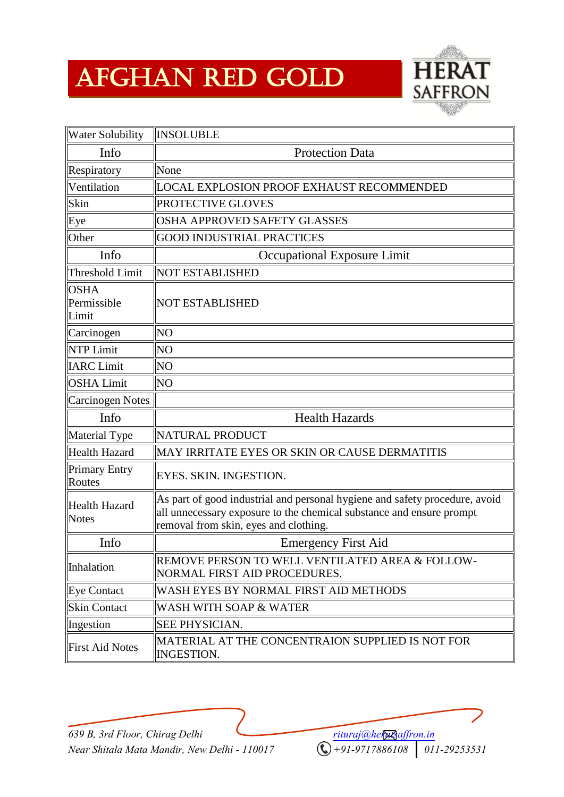## Afghan Red Gold



| <b>Water Solubility</b>              | <b>INSOLUBLE</b>                                                                                                                                                                             |
|--------------------------------------|----------------------------------------------------------------------------------------------------------------------------------------------------------------------------------------------|
| Info                                 | <b>Protection Data</b>                                                                                                                                                                       |
| Respiratory                          | None                                                                                                                                                                                         |
| Ventilation                          | <b>LOCAL EXPLOSION PROOF EXHAUST RECOMMENDED</b>                                                                                                                                             |
| Skin                                 | PROTECTIVE GLOVES                                                                                                                                                                            |
| Eye                                  | OSHA APPROVED SAFETY GLASSES                                                                                                                                                                 |
| Other                                | <b>GOOD INDUSTRIAL PRACTICES</b>                                                                                                                                                             |
| Info                                 | Occupational Exposure Limit                                                                                                                                                                  |
| Threshold Limit                      | <b>NOT ESTABLISHED</b>                                                                                                                                                                       |
| <b>OSHA</b><br>Permissible<br>Limit  | <b>NOT ESTABLISHED</b>                                                                                                                                                                       |
| Carcinogen                           | N <sub>O</sub>                                                                                                                                                                               |
| NTP Limit                            | N <sub>O</sub>                                                                                                                                                                               |
| <b>IARC</b> Limit                    | NO <sub></sub>                                                                                                                                                                               |
| <b>OSHA Limit</b>                    | NO <sub></sub>                                                                                                                                                                               |
| <b>Carcinogen Notes</b>              |                                                                                                                                                                                              |
| Info                                 | <b>Health Hazards</b>                                                                                                                                                                        |
| Material Type                        | NATURAL PRODUCT                                                                                                                                                                              |
| Health Hazard                        | MAY IRRITATE EYES OR SKIN OR CAUSE DERMATITIS                                                                                                                                                |
| <b>Primary Entry</b><br>Routes       | EYES. SKIN. INGESTION.                                                                                                                                                                       |
| <b>Health Hazard</b><br><b>Notes</b> | As part of good industrial and personal hygiene and safety procedure, avoid<br>all unnecessary exposure to the chemical substance and ensure prompt<br>removal from skin, eyes and clothing. |
| Info                                 | <b>Emergency First Aid</b>                                                                                                                                                                   |
| Inhalation                           | REMOVE PERSON TO WELL VENTILATED AREA & FOLLOW-<br>NORMAL FIRST AID PROCEDURES.                                                                                                              |
| Eye Contact                          | WASH EYES BY NORMAL FIRST AID METHODS                                                                                                                                                        |
| <b>Skin Contact</b>                  | WASH WITH SOAP & WATER                                                                                                                                                                       |
| Ingestion                            | <b>SEE PHYSICIAN.</b>                                                                                                                                                                        |
| <b>First Aid Notes</b>               | MATERIAL AT THE CONCENTRAION SUPPLIED IS NOT FOR<br><b>INGESTION.</b>                                                                                                                        |